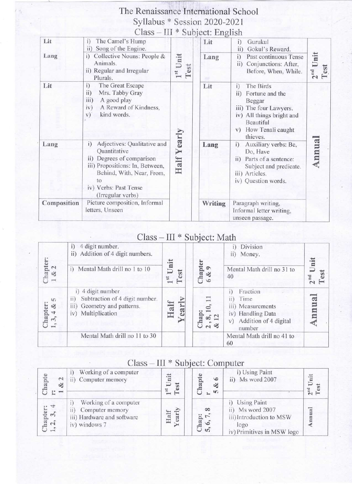## The Renaissance International School Syllabus \* Session 2020-2021

| Lit         | The Camel's Hump<br>$\overline{1}$<br>Song of the Engine.<br>ii)                                                                                                                                   |                     | Lit     | i)<br>Gurukul<br>Gokul's Reward.<br>ii)                                                                                                                                |                                                                                                                                       |
|-------------|----------------------------------------------------------------------------------------------------------------------------------------------------------------------------------------------------|---------------------|---------|------------------------------------------------------------------------------------------------------------------------------------------------------------------------|---------------------------------------------------------------------------------------------------------------------------------------|
| Lang        | Collective Nouns: People &<br>i)<br>Animals.<br>ii) Regular and Irregular<br>Plurals.                                                                                                              | Unit<br>Test<br>181 | Lang    | Past continuous Tense<br>i)<br>Conjunctions: After,<br>$\overline{11}$<br>Before, When, While.                                                                         | $2nd$ Unit<br>Test                                                                                                                    |
| Lit         | The Great Escape<br>i)<br>Mrs. Tabby Gray<br>$\overline{11}$<br>A good play<br>iii)<br>A Reward of Kindness,<br>iv)<br>kind words.<br>V)                                                           | Half Yearly         | Lit     | The Birds<br>$\ddot{1}$<br>Fortune and the<br>ii)<br>Beggar<br>iii) The four Lawyers.<br>iv) All things bright and<br>Beautiful<br>How Tenali caught<br>V)<br>thieves. |                                                                                                                                       |
| Lang        | Adjectives: Qualitative and<br>i)<br>Quantitative<br>ii) Degrees of comparison<br>iii) Propositions: In, Between,<br>Behind, With, Near, From,<br>ŤΟ<br>iv) Verbs: Past Tense<br>(Irregular verbs) |                     |         | Lang                                                                                                                                                                   | Auxiliary verbs: Be,<br>i)<br>Do, Have<br>ii) Parts of a sentence:<br>Subject and predicate.<br>iii) Articles.<br>iv) Question words. |
| Composition | Picture composition, Informal<br>letters, Unseen                                                                                                                                                   |                     | Writing | Paragraph writing,<br>Informal letter writing,<br>unseen passage.                                                                                                      |                                                                                                                                       |

## Class - III \* Subject: Math

| Chapter:<br>$1 \& 2$                       | 4 digit number.<br>i)<br>Addition of 4 digit numbers.<br>$\overline{11}$<br>i) Mental Math drill no 1 to 10              | Unit<br>Test<br>$1^{st}$ | Chapter<br>$\infty$<br>$\circ$ | Division<br>i)<br>ii) Money.<br>Mental Math drill no 31 to<br>40                                           | Unit<br>est<br>$2nd$ |
|--------------------------------------------|--------------------------------------------------------------------------------------------------------------------------|--------------------------|--------------------------------|------------------------------------------------------------------------------------------------------------|----------------------|
| m<br>Chapter:<br>$-4 &$<br>$\mathcal{E}_1$ | 4 digit number<br>Subtraction of 4 digit number.<br>$\overline{11}$<br>iii) Geometry and patterns.<br>iv) Multiplication | Half<br>earl             | Chap:<br>œ<br>$\approx 8$      | Fraction<br>Time<br>11)<br>iii) Measurements<br>iv) Handling Data<br>Addition of 4 digital<br>V)<br>number |                      |
|                                            | Mental Math drill no 11 to 30                                                                                            |                          |                                | Mental Math drill no 41 to<br>60                                                                           |                      |

### Class - III \* Subject: Computer

| hapte<br>$\sim$<br>త<br>E.<br>$\overline{\phantom{a}}$ | Working of a computer<br>Computer memory                                                       | nit<br>est<br>$T^{\rm st}$ | hapte<br>$\circ$<br>$\infty$<br>$\mathfrak{g}$ | i) Using Paint<br>Ms word 2007<br>ii)                                                               | Unit<br>$2nd$<br>Test |
|--------------------------------------------------------|------------------------------------------------------------------------------------------------|----------------------------|------------------------------------------------|-----------------------------------------------------------------------------------------------------|-----------------------|
| Thapter:<br>$, 2, 3, 4$                                | Working of a computer<br>Computer memory<br>11)<br>iii) Hardware and software<br>iv) windows 7 | early<br>alf<br>H          | œ<br>Chap:<br>$\zeta$ $\zeta$ , $\zeta$ ,      | i) Using Paint<br>ii) Ms word 2007<br>iii)Introduction to MSW<br>logo<br>iv) Primitives in MSW logo | nnual                 |